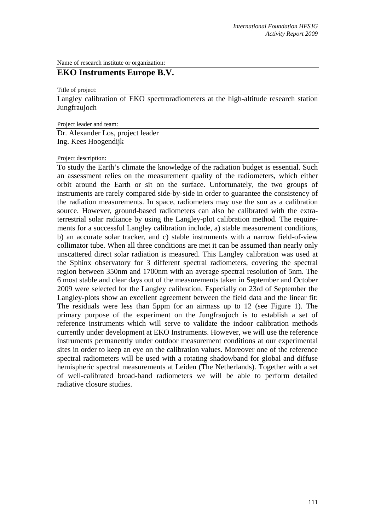Name of research institute or organization:

## **EKO Instruments Europe B.V.**

Title of project:

Langley calibration of EKO spectroradiometers at the high-altitude research station Jungfraujoch

Project leader and team:

Dr. Alexander Los, project leader Ing. Kees Hoogendijk

Project description:

To study the Earth's climate the knowledge of the radiation budget is essential. Such an assessment relies on the measurement quality of the radiometers, which either orbit around the Earth or sit on the surface. Unfortunately, the two groups of instruments are rarely compared side-by-side in order to guarantee the consistency of the radiation measurements. In space, radiometers may use the sun as a calibration source. However, ground-based radiometers can also be calibrated with the extraterrestrial solar radiance by using the Langley-plot calibration method. The requirements for a successful Langley calibration include, a) stable measurement conditions, b) an accurate solar tracker, and c) stable instruments with a narrow field-of-view collimator tube. When all three conditions are met it can be assumed than nearly only unscattered direct solar radiation is measured. This Langley calibration was used at the Sphinx observatory for 3 different spectral radiometers, covering the spectral region between 350nm and 1700nm with an average spectral resolution of 5nm. The 6 most stable and clear days out of the measurements taken in September and October 2009 were selected for the Langley calibration. Especially on 23rd of September the Langley-plots show an excellent agreement between the field data and the linear fit: The residuals were less than 5ppm for an airmass up to 12 (see Figure 1). The primary purpose of the experiment on the Jungfraujoch is to establish a set of reference instruments which will serve to validate the indoor calibration methods currently under development at EKO Instruments. However, we will use the reference instruments permanently under outdoor measurement conditions at our experimental sites in order to keep an eye on the calibration values. Moreover one of the reference spectral radiometers will be used with a rotating shadowband for global and diffuse hemispheric spectral measurements at Leiden (The Netherlands). Together with a set of well-calibrated broad-band radiometers we will be able to perform detailed radiative closure studies.